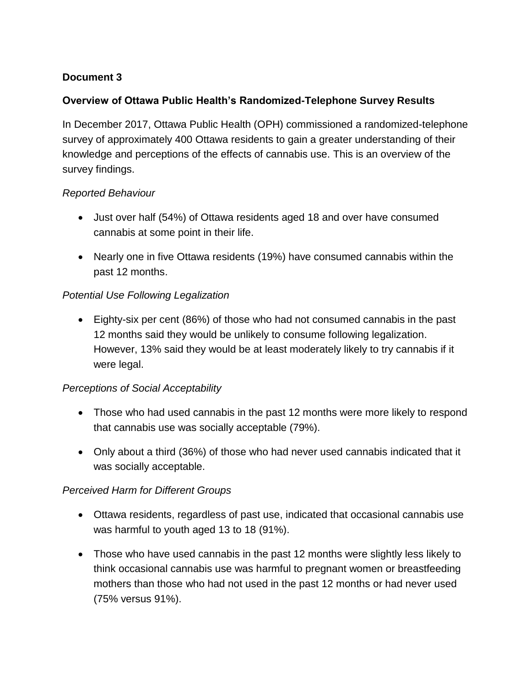## **Document 3**

## **Overview of Ottawa Public Health's Randomized-Telephone Survey Results**

In December 2017, Ottawa Public Health (OPH) commissioned a randomized-telephone survey of approximately 400 Ottawa residents to gain a greater understanding of their knowledge and perceptions of the effects of cannabis use. This is an overview of the survey findings.

### *Reported Behaviour*

- Just over half (54%) of Ottawa residents aged 18 and over have consumed cannabis at some point in their life.
- Nearly one in five Ottawa residents (19%) have consumed cannabis within the past 12 months.

## *Potential Use Following Legalization*

 Eighty-six per cent (86%) of those who had not consumed cannabis in the past 12 months said they would be unlikely to consume following legalization. However, 13% said they would be at least moderately likely to try cannabis if it were legal.

### *Perceptions of Social Acceptability*

- Those who had used cannabis in the past 12 months were more likely to respond that cannabis use was socially acceptable (79%).
- Only about a third (36%) of those who had never used cannabis indicated that it was socially acceptable.

### *Perceived Harm for Different Groups*

- Ottawa residents, regardless of past use, indicated that occasional cannabis use was harmful to youth aged 13 to 18 (91%).
- Those who have used cannabis in the past 12 months were slightly less likely to think occasional cannabis use was harmful to pregnant women or breastfeeding mothers than those who had not used in the past 12 months or had never used (75% versus 91%).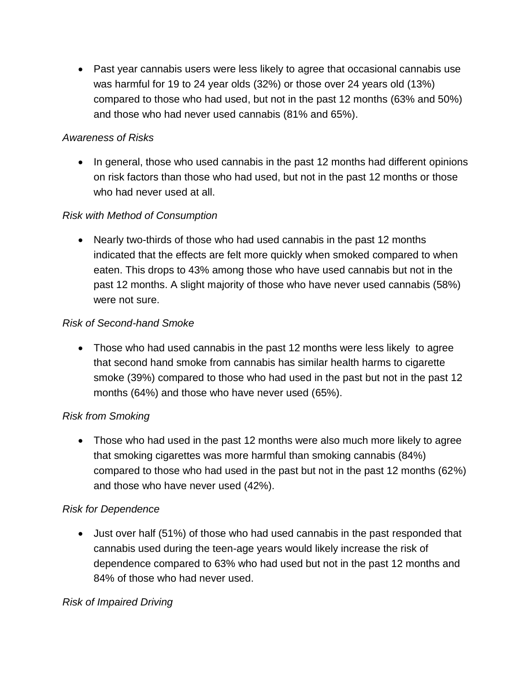Past year cannabis users were less likely to agree that occasional cannabis use was harmful for 19 to 24 year olds (32%) or those over 24 years old (13%) compared to those who had used, but not in the past 12 months (63% and 50%) and those who had never used cannabis (81% and 65%).

## *Awareness of Risks*

• In general, those who used cannabis in the past 12 months had different opinions on risk factors than those who had used, but not in the past 12 months or those who had never used at all.

## *Risk with Method of Consumption*

• Nearly two-thirds of those who had used cannabis in the past 12 months indicated that the effects are felt more quickly when smoked compared to when eaten. This drops to 43% among those who have used cannabis but not in the past 12 months. A slight majority of those who have never used cannabis (58%) were not sure.

# *Risk of Second-hand Smoke*

• Those who had used cannabis in the past 12 months were less likely to agree that second hand smoke from cannabis has similar health harms to cigarette smoke (39%) compared to those who had used in the past but not in the past 12 months (64%) and those who have never used (65%).

# *Risk from Smoking*

 Those who had used in the past 12 months were also much more likely to agree that smoking cigarettes was more harmful than smoking cannabis (84%) compared to those who had used in the past but not in the past 12 months (62%) and those who have never used (42%).

### *Risk for Dependence*

 Just over half (51%) of those who had used cannabis in the past responded that cannabis used during the teen-age years would likely increase the risk of dependence compared to 63% who had used but not in the past 12 months and 84% of those who had never used.

### *Risk of Impaired Driving*